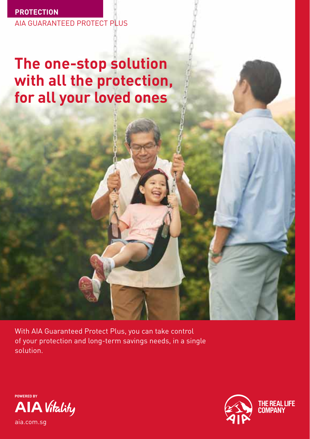**PROTECTION** AIA GUARANTEED PROTECT PLUS

### **The one-stop solution with all the protection, for all your loved ones**

With AIA Guaranteed Protect Plus, you can take control of your protection and long-term savings needs, in a single solution.



THE REAL LIFE **COMPAN** 

aia.com.sg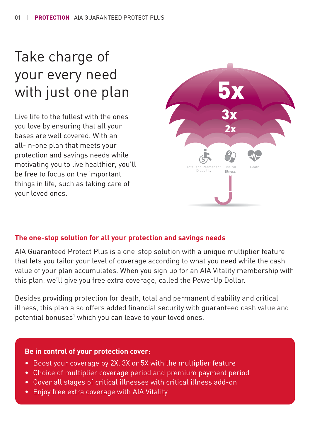## Take charge of your every need with just one plan

Live life to the fullest with the ones you love by ensuring that all your bases are well covered. With an all-in-one plan that meets your protection and savings needs while motivating you to live healthier, you'll be free to focus on the important things in life, such as taking care of your loved ones.



### **The one-stop solution for all your protection and savings needs**

AIA Guaranteed Protect Plus is a one-stop solution with a unique multiplier feature that lets you tailor your level of coverage according to what you need while the cash value of your plan accumulates. When you sign up for an AIA Vitality membership with this plan, we'll give you free extra coverage, called the PowerUp Dollar.

Besides providing protection for death, total and permanent disability and critical illness, this plan also offers added financial security with quaranteed cash value and potential bonuses<sup>1</sup> which you can leave to your loved ones.

#### **Be in control of your protection cover:**

- Boost your coverage by 2X, 3X or 5X with the multiplier feature
- Choice of multiplier coverage period and premium payment period
- Cover all stages of critical illnesses with critical illness add-on
- Enjoy free extra coverage with AIA Vitality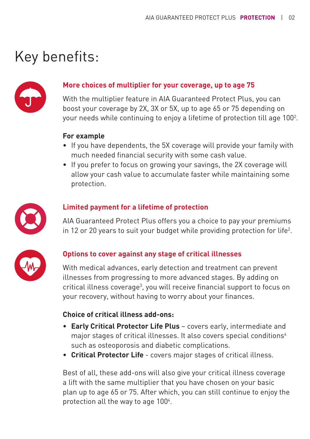## Key benefits:



### **More choices of multiplier for your coverage, up to age 75**

With the multiplier feature in AIA Guaranteed Protect Plus, you can boost your coverage by 2X, 3X or 5X, up to age 65 or 75 depending on your needs while continuing to enjoy a lifetime of protection till age 100 $^{\rm 2}.$ 

#### **For example**

- If you have dependents, the 5X coverage will provide your family with much needed financial security with some cash value.
- If you prefer to focus on growing your savings, the 2X coverage will allow your cash value to accumulate faster while maintaining some protection.



#### **Limited payment for a lifetime of protection**

AIA Guaranteed Protect Plus offers you a choice to pay your premiums in 12 or 20 years to suit your budget while providing protection for life $^2$ .



#### **Options to cover against any stage of critical illnesses**

With medical advances, early detection and treatment can prevent illnesses from progressing to more advanced stages. By adding on critical illness coverage<sup>3</sup>, you will receive financial support to focus on your recovery, without having to worry about your finances.

#### **Choice of critical illness add-ons:**

- **Early Critical Protector Life Plus** covers early, intermediate and major stages of critical illnesses. It also covers special conditions<sup>4</sup> such as osteoporosis and diabetic complications.
- **Critical Protector Life**  covers major stages of critical illness.

Best of all, these add-ons will also give your critical illness coverage a lift with the same multiplier that you have chosen on your basic plan up to age 65 or 75. After which, you can still continue to enjoy the protection all the way to age 100<sup>4</sup>.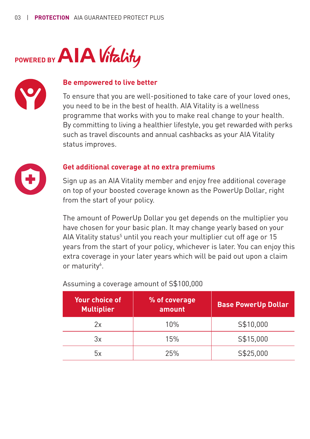



#### **Be empowered to live better**

To ensure that you are well-positioned to take care of your loved ones, you need to be in the best of health. AIA Vitality is a wellness programme that works with you to make real change to your health. By committing to living a healthier lifestyle, you get rewarded with perks such as travel discounts and annual cashbacks as your AIA Vitality status improves.



#### **Get additional coverage at no extra premiums**

Sign up as an AIA Vitality member and enjoy free additional coverage on top of your boosted coverage known as the PowerUp Dollar, right from the start of your policy.

The amount of PowerUp Dollar you get depends on the multiplier you have chosen for your basic plan. It may change yearly based on your AIA Vitality status<sup>5</sup> until you reach your multiplier cut off age or 15 years from the start of your policy, whichever is later. You can enjoy this extra coverage in your later years which will be paid out upon a claim or maturity<sup>6</sup>.

| Your choice of<br><b>Multiplier</b> | % of coverage<br>amount | <b>Base PowerUp Dollar</b> |
|-------------------------------------|-------------------------|----------------------------|
| 2x                                  | 10%                     | S\$10,000                  |
| Зx                                  | 15%                     | S\$15,000                  |
| 5x                                  | 25%                     | S\$25,000                  |

#### Assuming a coverage amount of S\$100,000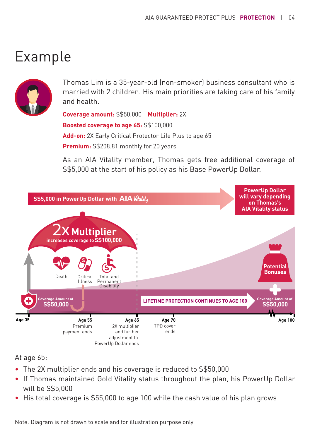### Example



Thomas Lim is a 35-year-old (non-smoker) business consultant who is married with 2 children. His main priorities are taking care of his family and health.

**Coverage amount:** S\$50,000 **Multiplier:** 2X **Boosted coverage to age 65:** S\$100,000 **Add-on:** 2X Early Critical Protector Life Plus to age 65 **Premium:** S\$208.81 monthly for 20 years

As an AIA Vitality member, Thomas gets free additional coverage of S\$5,000 at the start of his policy as his Base PowerUp Dollar.



At age 65:

- The 2X multiplier ends and his coverage is reduced to S\$50,000
- If Thomas maintained Gold Vitality status throughout the plan, his PowerUp Dollar will be S\$5,000
- His total coverage is \$55,000 to age 100 while the cash value of his plan grows

Note: Diagram is not drawn to scale and for illustration purpose only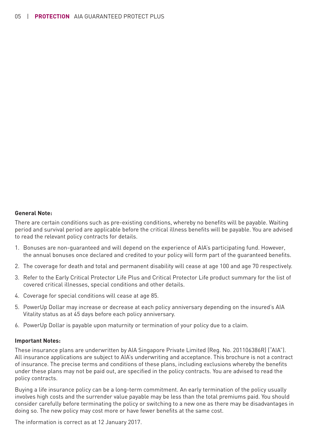#### **General Note:**

There are certain conditions such as pre-existing conditions, whereby no benefits will be payable. Waiting period and survival period are applicable before the critical illness benefits will be payable. You are advised to read the relevant policy contracts for details.

- 1. Bonuses are non-guaranteed and will depend on the experience of AIA's participating fund. However, the annual bonuses once declared and credited to your policy will form part of the quaranteed benefits.
- 2. The coverage for death and total and permanent disability will cease at age 100 and age 70 respectively.
- 3. Refer to the Early Critical Protector Life Plus and Critical Protector Life product summary for the list of covered critical illnesses, special conditions and other details.
- 4. Coverage for special conditions will cease at age 85.
- 5. PowerUp Dollar may increase or decrease at each policy anniversary depending on the insured's AIA Vitality status as at 45 days before each policy anniversary.
- 6. PowerUp Dollar is payable upon maturnity or termination of your policy due to a claim.

#### **Important Notes:**

These insurance plans are underwritten by AIA Singapore Private Limited (Reg. No. 201106386R) ("AIA"). All insurance applications are subject to AIA's underwriting and acceptance. This brochure is not a contract of insurance. The precise terms and conditions of these plans, including exclusions whereby the benefits under these plans may not be paid out, are specified in the policy contracts. You are advised to read the policy contracts.

Buying a life insurance policy can be a long-term commitment. An early termination of the policy usually involves high costs and the surrender value payable may be less than the total premiums paid. You should consider carefully before terminating the policy or switching to a new one as there may be disadvantages in doing so. The new policy may cost more or have fewer benefits at the same cost.

The information is correct as at 12 January 2017.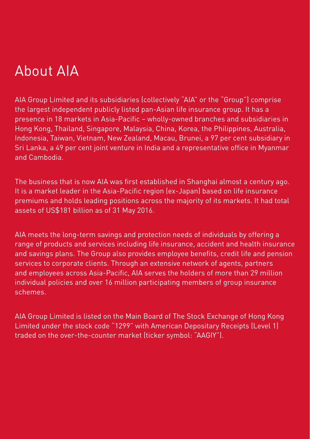# About AIA

AIA Group Limited and its subsidiaries (collectively "AIA" or the "Group") comprise the largest independent publicly listed pan-Asian life insurance group. It has a presence in 18 markets in Asia-Pacific - wholly-owned branches and subsidiaries in Hong Kong, Thailand, Singapore, Malaysia, China, Korea, the Philippines, Australia, Indonesia, Taiwan, Vietnam, New Zealand, Macau, Brunei, a 97 per cent subsidiary in Sri Lanka, a 49 per cent joint venture in India and a representative office in Myanmar and Cambodia.

The business that is now AIA was first established in Shanghai almost a century ago. It is a market leader in the Asia-Pacific region (ex-Japan) based on life insurance premiums and holds leading positions across the majority of its markets. It had total assets of US\$181 billion as of 31 May 2016.

AIA meets the long-term savings and protection needs of individuals by offering a range of products and services including life insurance, accident and health insurance and savings plans. The Group also provides employee benefits, credit life and pension services to corporate clients. Through an extensive network of agents, partners and employees across Asia-Pacific, AIA serves the holders of more than 29 million individual policies and over 16 million participating members of group insurance schemes.

AIA Group Limited is listed on the Main Board of The Stock Exchange of Hong Kong Limited under the stock code "1299" with American Depositary Receipts (Level 1) traded on the over-the-counter market (ticker symbol: "AAGIY").